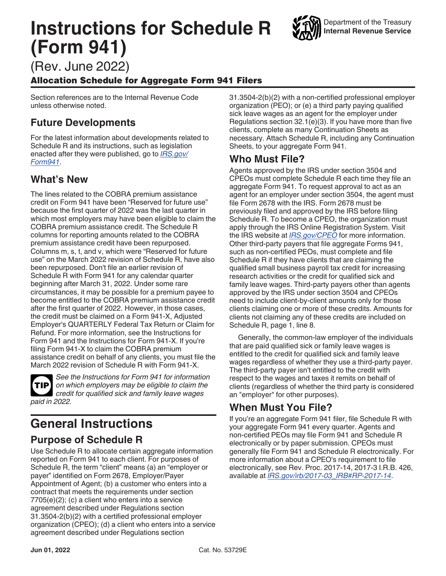# **Instructions for Schedule R (Form 941)**

(Rev. June 2022)

### Allocation Schedule for Aggregate Form 941 Filers

Section references are to the Internal Revenue Code unless otherwise noted.

# **Future Developments**

For the latest information about developments related to Schedule R and its instructions, such as legislation enacted after they were published, go to *[IRS.gov/](https://www.irs.gov/form941) [Form941](https://www.irs.gov/form941)*.

# **What's New**

The lines related to the COBRA premium assistance credit on Form 941 have been "Reserved for future use" because the first quarter of 2022 was the last quarter in which most employers may have been eligible to claim the COBRA premium assistance credit. The Schedule R columns for reporting amounts related to the COBRA premium assistance credit have been repurposed. Columns m, s, t, and v, which were "Reserved for future use" on the March 2022 revision of Schedule R, have also been repurposed. Don't file an earlier revision of Schedule R with Form 941 for any calendar quarter beginning after March 31, 2022. Under some rare circumstances, it may be possible for a premium payee to become entitled to the COBRA premium assistance credit after the first quarter of 2022. However, in those cases, the credit must be claimed on a Form 941-X, Adjusted Employer's QUARTERLY Federal Tax Return or Claim for Refund. For more information, see the Instructions for Form 941 and the Instructions for Form 941-X. If you're filing Form 941-X to claim the COBRA premium assistance credit on behalf of any clients, you must file the March 2022 revision of Schedule R with Form 941-X.

**TIP**

*See the Instructions for Form 941 for information on which employers may be eligible to claim the credit for qualified sick and family leave wages paid in 2022.*

# **General Instructions**

# **Purpose of Schedule R**

Use Schedule R to allocate certain aggregate information reported on Form 941 to each client. For purposes of Schedule R, the term "client" means (a) an "employer or payer" identified on Form 2678, Employer/Payer Appointment of Agent; (b) a customer who enters into a contract that meets the requirements under section 7705(e)(2); (c) a client who enters into a service agreement described under Regulations section 31.3504-2(b)(2) with a certified professional employer organization (CPEO); (d) a client who enters into a service agreement described under Regulations section

31.3504-2(b)(2) with a non-certified professional employer organization (PEO); or (e) a third party paying qualified sick leave wages as an agent for the employer under Regulations section 32.1(e)(3). If you have more than five clients, complete as many Continuation Sheets as necessary. Attach Schedule R, including any Continuation Sheets, to your aggregate Form 941.

## **Who Must File?**

Agents approved by the IRS under section 3504 and CPEOs must complete Schedule R each time they file an aggregate Form 941. To request approval to act as an agent for an employer under section 3504, the agent must file Form 2678 with the IRS. Form 2678 must be previously filed and approved by the IRS before filing Schedule R. To become a CPEO, the organization must apply through the IRS Online Registration System. Visit the IRS website at *[IRS.gov/CPEO](https://www.irs.gov/cpeo)* for more information. Other third-party payers that file aggregate Forms 941, such as non-certified PEOs, must complete and file Schedule R if they have clients that are claiming the qualified small business payroll tax credit for increasing research activities or the credit for qualified sick and family leave wages. Third-party payers other than agents approved by the IRS under section 3504 and CPEOs need to include client-by-client amounts only for those clients claiming one or more of these credits. Amounts for clients not claiming any of these credits are included on Schedule R, page 1, line 8.

Generally, the common-law employer of the individuals that are paid qualified sick or family leave wages is entitled to the credit for qualified sick and family leave wages regardless of whether they use a third-party payer. The third-party payer isn't entitled to the credit with respect to the wages and taxes it remits on behalf of clients (regardless of whether the third party is considered an "employer" for other purposes).

# **When Must You File?**

If you're an aggregate Form 941 filer, file Schedule R with your aggregate Form 941 every quarter. Agents and non-certified PEOs may file Form 941 and Schedule R electronically or by paper submission. CPEOs must generally file Form 941 and Schedule R electronically. For more information about a CPEO's requirement to file electronically, see Rev. Proc. 2017-14, 2017-3 I.R.B. 426, available at *[IRS.gov/irb/2017-03\\_IRB#RP-2017-14](https://www.irs.gov/irb/2017-03_IRB#RP-2017-14)*.

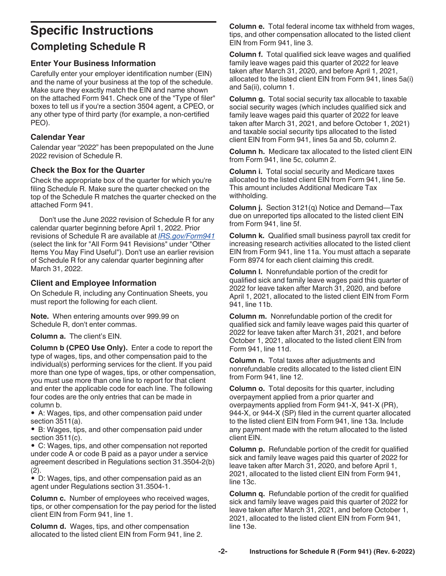# <span id="page-1-0"></span>**Specific Instructions Completing Schedule R**

### **Enter Your Business Information**

Carefully enter your employer identification number (EIN) and the name of your business at the top of the schedule. Make sure they exactly match the EIN and name shown on the attached Form 941. Check one of the "Type of filer" boxes to tell us if you're a section 3504 agent, a CPEO, or any other type of third party (for example, a non-certified PEO).

### **Calendar Year**

Calendar year "2022" has been prepopulated on the June 2022 revision of Schedule R.

### **Check the Box for the Quarter**

Check the appropriate box of the quarter for which you're filing Schedule R. Make sure the quarter checked on the top of the Schedule R matches the quarter checked on the attached Form 941.

Don't use the June 2022 revision of Schedule R for any calendar quarter beginning before April 1, 2022. Prior revisions of Schedule R are available at *[IRS.gov/Form941](https://www.irs.gov/form941)*  (select the link for "All Form 941 Revisions" under "Other Items You May Find Useful"). Don't use an earlier revision of Schedule R for any calendar quarter beginning after March 31, 2022.

### **Client and Employee Information**

On Schedule R, including any Continuation Sheets, you must report the following for each client.

**Note.** When entering amounts over 999.99 on Schedule R, don't enter commas.

**Column a.** The client's EIN.

**Column b (CPEO Use Only).** Enter a code to report the type of wages, tips, and other compensation paid to the individual(s) performing services for the client. If you paid more than one type of wages, tips, or other compensation, you must use more than one line to report for that client and enter the applicable code for each line. The following four codes are the only entries that can be made in column b.

• A: Wages, tips, and other compensation paid under section 3511(a).

• B: Wages, tips, and other compensation paid under section 3511(c).

• C: Wages, tips, and other compensation not reported under code A or code B paid as a payor under a service agreement described in Regulations section 31.3504-2(b) (2).

• D: Wages, tips, and other compensation paid as an agent under Regulations section 31.3504-1.

**Column c.** Number of employees who received wages, tips, or other compensation for the pay period for the listed client EIN from Form 941, line 1.

**Column d.** Wages, tips, and other compensation allocated to the listed client EIN from Form 941, line 2. **Column e.** Total federal income tax withheld from wages, tips, and other compensation allocated to the listed client EIN from Form 941, line 3.

**Column f.** Total qualified sick leave wages and qualified family leave wages paid this quarter of 2022 for leave taken after March 31, 2020, and before April 1, 2021, allocated to the listed client EIN from Form 941, lines 5a(i) and 5a(ii), column 1.

**Column g.** Total social security tax allocable to taxable social security wages (which includes qualified sick and family leave wages paid this quarter of 2022 for leave taken after March 31, 2021, and before October 1, 2021) and taxable social security tips allocated to the listed client EIN from Form 941, lines 5a and 5b, column 2.

**Column h.** Medicare tax allocated to the listed client EIN from Form 941, line 5c, column 2.

**Column i.** Total social security and Medicare taxes allocated to the listed client EIN from Form 941, line 5e. This amount includes Additional Medicare Tax withholding.

**Column j.** Section 3121(q) Notice and Demand—Tax due on unreported tips allocated to the listed client EIN from Form 941, line 5f.

**Column k.** Qualified small business payroll tax credit for increasing research activities allocated to the listed client EIN from Form 941, line 11a. You must attach a separate Form 8974 for each client claiming this credit.

**Column l.** Nonrefundable portion of the credit for qualified sick and family leave wages paid this quarter of 2022 for leave taken after March 31, 2020, and before April 1, 2021, allocated to the listed client EIN from Form 941, line 11b.

**Column m.** Nonrefundable portion of the credit for qualified sick and family leave wages paid this quarter of 2022 for leave taken after March 31, 2021, and before October 1, 2021, allocated to the listed client EIN from Form 941, line 11d.

**Column n.** Total taxes after adjustments and nonrefundable credits allocated to the listed client EIN from Form 941, line 12.

**Column o.** Total deposits for this quarter, including overpayment applied from a prior quarter and overpayments applied from Form 941-X, 941-X (PR), 944-X, or 944-X (SP) filed in the current quarter allocated to the listed client EIN from Form 941, line 13a. Include any payment made with the return allocated to the listed client EIN.

**Column p.** Refundable portion of the credit for qualified sick and family leave wages paid this quarter of 2022 for leave taken after March 31, 2020, and before April 1, 2021, allocated to the listed client EIN from Form 941, line 13c.

**Column q.** Refundable portion of the credit for qualified sick and family leave wages paid this quarter of 2022 for leave taken after March 31, 2021, and before October 1, 2021, allocated to the listed client EIN from Form 941, line 13e.